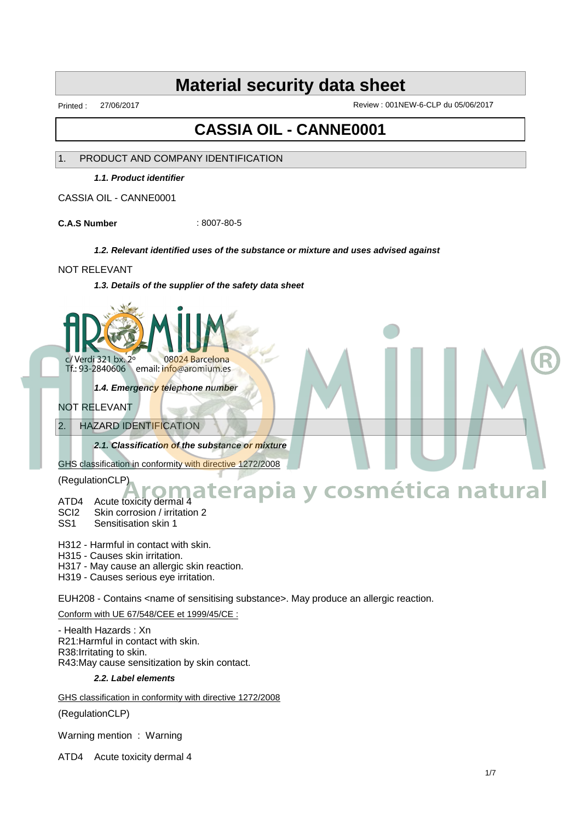Printed : 27/06/2017 Review : 001NEW-6-CLP du 05/06/2017

# **CASSIA OIL - CANNE0001**

## 1. PRODUCT AND COMPANY IDENTIFICATION

**1.1. Product identifier**

CASSIA OIL - CANNE0001

**C.A.S Number** : 8007-80-5

#### **1.2. Relevant identified uses of the substance or mixture and uses advised against**

#### NOT RELEVANT

**1.3. Details of the supplier of the safety data sheet**



Tf.: 93-2840606 email: info@aromium.es

**1.4. Emergency telephone number**

- NOT RELEVANT
- 2. HAZARD IDENTIFICATION

**2.1. Classification of the substance or mixture**

GHS classification in conformity with directive 1272/2008

(RegulationCLP)

## ATD4 Acute toxicity dermal 4 **Aromaterapia y cosmética natural**

- SCI2 Skin corrosion / irritation 2
- SS1 Sensitisation skin 1
- H312 Harmful in contact with skin.
- H315 Causes skin irritation.
- H317 May cause an allergic skin reaction.

H319 - Causes serious eye irritation.

EUH208 - Contains <name of sensitising substance>. May produce an allergic reaction.

#### Conform with UE 67/548/CEE et 1999/45/CE :

- Health Hazards : Xn R21:Harmful in contact with skin. R38:Irritating to skin. R43:May cause sensitization by skin contact.

#### **2.2. Label elements**

GHS classification in conformity with directive 1272/2008

(RegulationCLP)

Warning mention : Warning

ATD4 Acute toxicity dermal 4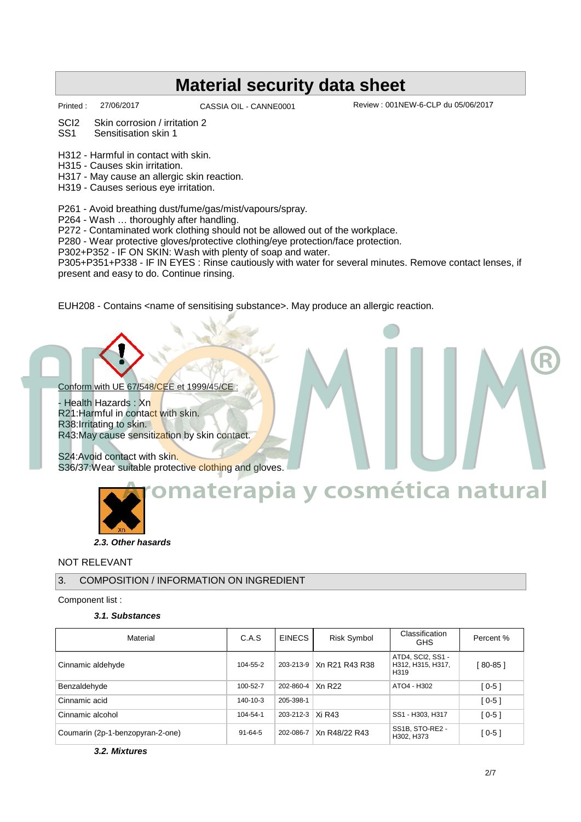CASSIA OIL - CANNE0001

Printed : 27/06/2017 CASSIA OIL - CANNE0001 Review : 001NEW-6-CLP du 05/06/2017

SCI2 Skin corrosion / irritation 2

SS1 Sensitisation skin 1

H312 - Harmful in contact with skin.

H315 - Causes skin irritation.

H317 - May cause an allergic skin reaction.

H319 - Causes serious eye irritation.

P261 - Avoid breathing dust/fume/gas/mist/vapours/spray.

P264 - Wash … thoroughly after handling.

P272 - Contaminated work clothing should not be allowed out of the workplace.

P280 - Wear protective gloves/protective clothing/eye protection/face protection.

P302+P352 - IF ON SKIN: Wash with plenty of soap and water.

P305+P351+P338 - IF IN EYES : Rinse cautiously with water for several minutes. Remove contact lenses, if present and easy to do. Continue rinsing.

EUH208 - Contains <name of sensitising substance>. May produce an allergic reaction.

Conform with UE 67/548/CEE et 1999/45/CE

Health Hazards : Xn R21: Harmful in contact with skin. R38:Irritating to skin. R43:May cause sensitization by skin contact.

S24:Avoid contact with skin. S36/37: Wear suitable protective clothing and gloves.



## **2.3. Other hasards**

## NOT RELEVANT

## 3. COMPOSITION / INFORMATION ON INGREDIENT

Component list :

### **3.1. Substances**

| Material                         | C.A.S          | <b>EINECS</b>      | Risk Symbol                | Classification<br><b>GHS</b>                               | Percent % |
|----------------------------------|----------------|--------------------|----------------------------|------------------------------------------------------------|-----------|
| Cinnamic aldehyde                | 104-55-2       |                    | 203-213-9   Xn R21 R43 R38 | ATD4. SCI2. SS1 -<br>H312, H315, H317,<br>H <sub>319</sub> | $80-85$ ] |
| Benzaldehyde                     | 100-52-7       | 202-860-4   Xn R22 |                            | ATO4 - H302                                                | $[0-5]$   |
| Cinnamic acid                    | $140 - 10 - 3$ | 205-398-1          |                            |                                                            | $[0-5]$   |
| Cinnamic alcohol                 | 104-54-1       | 203-212-3   Xi R43 |                            | SS1 - H303, H317                                           | $[0-5]$   |
| Coumarin (2p-1-benzopyran-2-one) | $91 - 64 - 5$  | 202-086-7          | Xn R48/22 R43              | SS1B, STO-RE2 -<br>H302, H373                              | [ 0-5 ]   |

**3.2. Mixtures**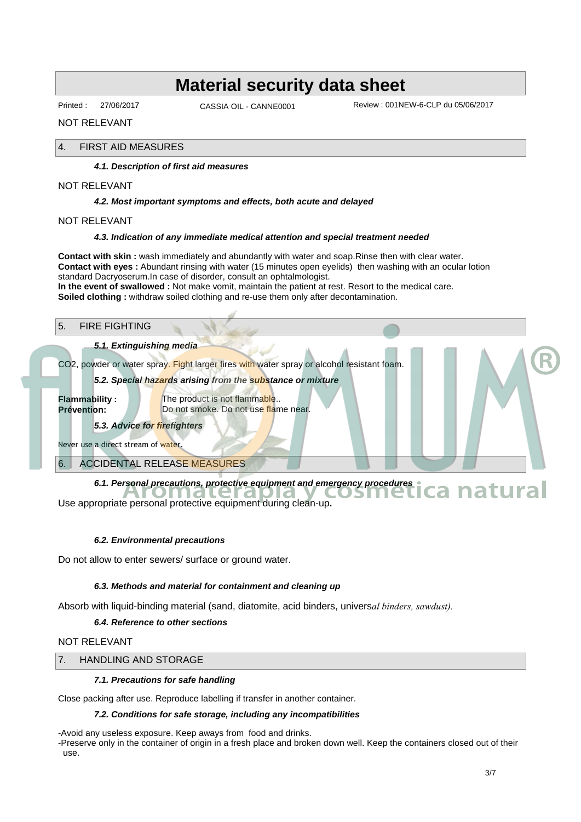Printed : 27/06/2017 CASSIA OIL - CANNE0001

Review : 001NEW-6-CLP du 05/06/2017

NOT RELEVANT

#### 4. FIRST AID MEASURES

#### **4.1. Description of first aid measures**

NOT RELEVANT

#### **4.2. Most important symptoms and effects, both acute and delayed**

NOT RELEVANT

#### **4.3. Indication of any immediate medical attention and special treatment needed**

**Contact with skin :** wash immediately and abundantly with water and soap.Rinse then with clear water. **Contact with eyes :** Abundant rinsing with water (15 minutes open eyelids) then washing with an ocular lotion standard Dacryoserum.In case of disorder, consult an ophtalmologist. **In the event of swallowed :** Not make vomit, maintain the patient at rest. Resort to the medical care.

**Soiled clothing :** withdraw soiled clothing and re-use them only after decontamination.

#### 5. FIRE FIGHTING

#### **5.1. Extinguishing media**

CO2, powder or water spray. Fight larger fires with water spray or alcohol resistant foam.

**5.2. Special hazards arising from the substance or mixture**

**Flammability :** The product is not flammable.. **Prévention:** Do not smoke. Do not use flame near.

#### **5.3. Advice for firefighters**

Never use a direct stream of water.

6. ACCIDENTAL RELEASE MEASURES

**6.1. Personal precautions, protective equipment and emergency procedures**<br> **Aromate personal protective equipment during clean-up** 

Use appropriate personal protective equipment during clean-up**.**

#### **6.2. Environmental precautions**

Do not allow to enter sewers/ surface or ground water.

#### **6.3. Methods and material for containment and cleaning up**

Absorb with liquid-binding material (sand, diatomite, acid binders, univers*al binders, sawdust).*

#### **6.4. Reference to other sections**

#### NOT RELEVANT

#### 7. HANDLING AND STORAGE

#### **7.1. Precautions for safe handling**

Close packing after use. Reproduce labelling if transfer in another container.

#### **7.2. Conditions for safe storage, including any incompatibilities**

-Avoid any useless exposure. Keep aways from food and drinks.

-Preserve only in the container of origin in a fresh place and broken down well. Keep the containers closed out of their use.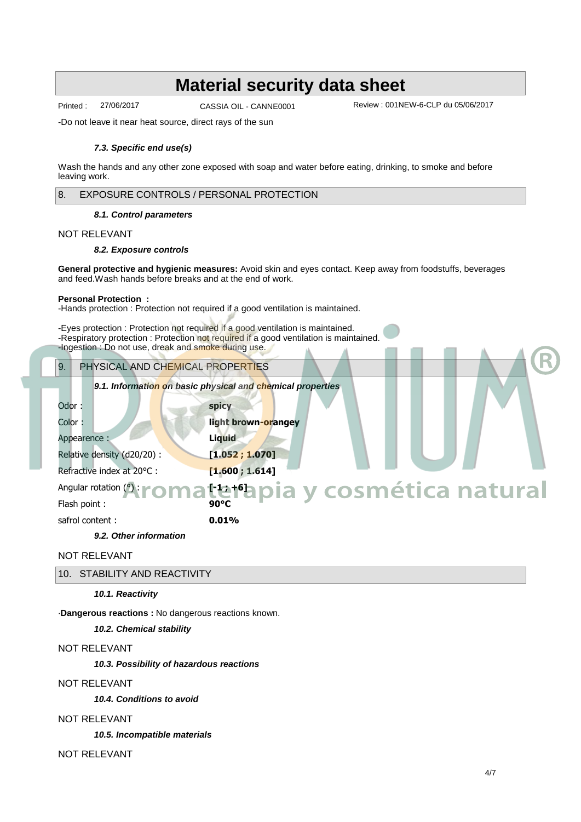CASSIA OIL - CANNE0001

Printed : 27/06/2017 CASSIA OIL - CANNE0001 Review : 001NEW-6-CLP du 05/06/2017

-Do not leave it near heat source, direct rays of the sun

#### **7.3. Specific end use(s)**

Wash the hands and any other zone exposed with soap and water before eating, drinking, to smoke and before leaving work.

#### 8. EXPOSURE CONTROLS / PERSONAL PROTECTION

#### **8.1. Control parameters**

#### NOT RELEVANT

#### **8.2. Exposure controls**

**General protective and hygienic measures:** Avoid skin and eyes contact. Keep away from foodstuffs, beverages and feed.Wash hands before breaks and at the end of work.

#### **Personal Protection :**

-Hands protection : Protection not required if a good ventilation is maintained.

-Eyes protection : Protection not required if a good ventilation is maintained. -Respiratory protection : Protection not required if a good ventilation is maintained. -Ingestion : Do not use, dreak and smoke during use.

# 9. PHYSICAL AND CHEMICAL PROPERTIES **9.1. Information on basic physical and chemical properties** Odor : **spicy** Color : **light brown-orangey** Appearence : **Liquid** Relative density (d20/20) : **[1.052 ; 1.070] Refractive index at 20 ℃ : [1.600 ; 1.614]** Angular rotation (<u>∴ **| ∩ n } + 1** + 6]</u> Flash point : **90∞C** safrol content : **0.01% 9.2. Other information** ® **Aromaterapia y cosmética natural**

NOT RELEVANT

10. STABILITY AND REACTIVITY

#### **10.1. Reactivity**

·**Dangerous reactions :** No dangerous reactions known.

#### **10.2. Chemical stability**

### NOT RELEVANT

**10.3. Possibility of hazardous reactions**

#### NOT RELEVANT

**10.4. Conditions to avoid**

#### NOT RELEVANT

**10.5. Incompatible materials**

NOT RELEVANT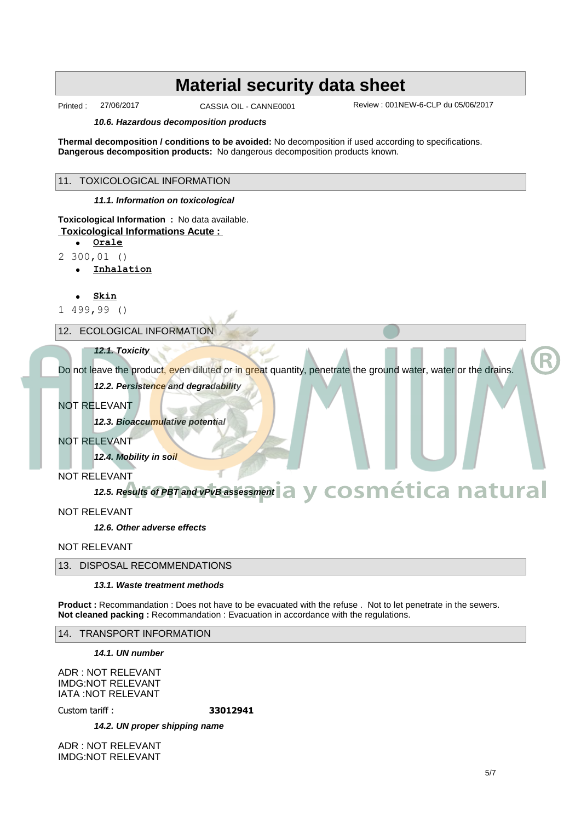CASSIA OIL - CANNE0001

Printed : 27/06/2017 Review : 001NEW-6-CLP du 05/06/2017

#### **10.6. Hazardous decomposition products**

**Thermal decomposition / conditions to be avoided:** No decomposition if used according to specifications. **Dangerous decomposition products:** No dangerous decomposition products known.

#### 11. TOXICOLOGICAL INFORMATION

**11.1. Information on toxicological**

### **Toxicological Information :** No data available.  **Toxicological Informations Acute :**

- · **Orale**
- 2 300,01 ()
	- · **Inhalation**
	- · **Skin**
- 1 499,99 ()

#### 12. ECOLOGICAL INFORMATION

#### **12.1. Toxicity**

Do not leave the product, even diluted or in great quantity, penetrate the ground water, water or the drains.

#### **12.2. Persistence and degradability**

#### NOT RELEVANT

**12.3. Bioaccumulative potential**

NOT RELEVANT

**12.4. Mobility in soil**

NOT RELEVANT

#### **12.5. Results of PBT and vPvB assessment Aromaterapia y cosmética natural**

NOT RELEVANT

**12.6. Other adverse effects**

NOT RELEVANT

## 13. DISPOSAL RECOMMENDATIONS

#### **13.1. Waste treatment methods**

**Product :** Recommandation : Does not have to be evacuated with the refuse . Not to let penetrate in the sewers. **Not cleaned packing :** Recommandation : Evacuation in accordance with the regulations.

14. TRANSPORT INFORMATION

**14.1. UN number**

ADR : NOT RELEVANT IMDG:NOT RELEVANT IATA :NOT RELEVANT

Custom tariff : **33012941**

**14.2. UN proper shipping name**

ADR : NOT RELEVANT IMDG:NOT RELEVANT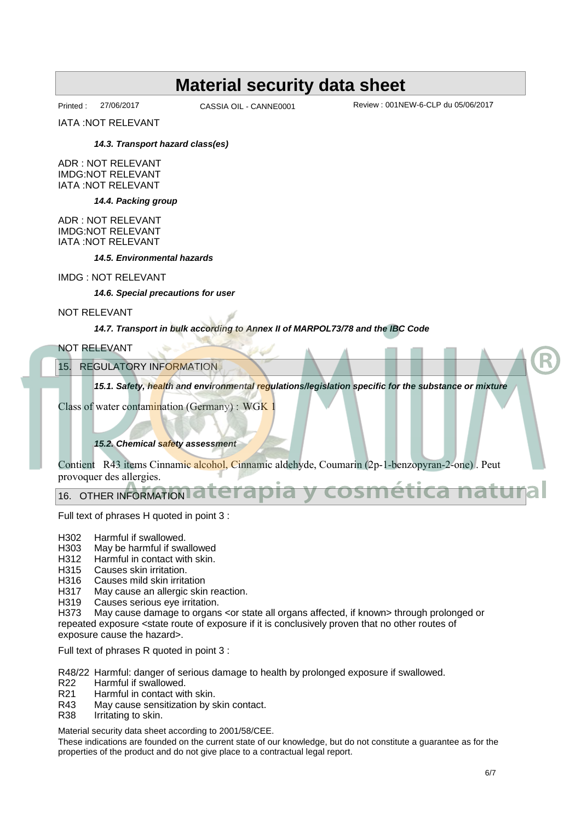CASSIA OIL - CANNE0001

Printed : 27/06/2017 Review : 001NEW-6-CLP du 05/06/2017

IATA :NOT RELEVANT

#### **14.3. Transport hazard class(es)**

ADR : NOT RELEVANT IMDG:NOT RELEVANT IATA :NOT RELEVANT

**14.4. Packing group**

ADR : NOT RELEVANT IMDG:NOT RELEVANT IATA :NOT RELEVANT

**14.5. Environmental hazards**

#### IMDG : NOT RELEVANT

**14.6. Special precautions for user**

#### NOT RELEVANT

#### **14.7. Transport in bulk according to Annex II of MARPOL73/78 and the IBC Code**

#### NOT RELEVANT

15. REGULATORY INFORMATION

**15.1. Safety, health and environmental regulations/legislation specific for the substance or mixture**

Class of water contamination (Germany) : WGK 1

### **15.2. Chemical safety assessment**

Contient R43 items Cinnamic alcohol, Cinnamic aldehyde, Coumarin (2p-1-benzopyran-2-one) . Peut provoquer des allergies.

## 16. OTHER INFORMATION C allergies.<br>NFORMATION **aterapia y cosmética natural**

Full text of phrases H quoted in point 3 :

- H302 Harmful if swallowed.
- H303 May be harmful if swallowed
- H312 Harmful in contact with skin.<br>H315 Causes skin irritation.
- Causes skin irritation.
- H316 Causes mild skin irritation
- H317 May cause an allergic skin reaction.
- H319 Causes serious eye irritation.

H373 May cause damage to organs <or state all organs affected, if known> through prolonged or repeated exposure <state route of exposure if it is conclusively proven that no other routes of exposure cause the hazard>.

Full text of phrases R quoted in point 3 :

R48/22 Harmful: danger of serious damage to health by prolonged exposure if swallowed.

- R22 Harmful if swallowed.
- R21 Harmful in contact with skin.<br>R43 May cause sensitization by s
- R43 May cause sensitization by skin contact.<br>R38 Irritating to skin.
- Irritating to skin.

Material security data sheet according to 2001/58/CEE.

These indications are founded on the current state of our knowledge, but do not constitute a guarantee as for the properties of the product and do not give place to a contractual legal report.